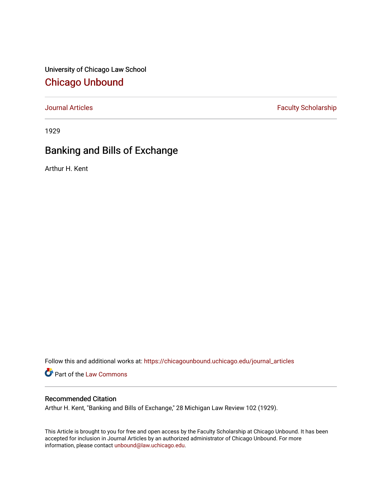University of Chicago Law School [Chicago Unbound](https://chicagounbound.uchicago.edu/)

[Journal Articles](https://chicagounbound.uchicago.edu/journal_articles) **Faculty Scholarship Faculty Scholarship** 

1929

## Banking and Bills of Exchange

Arthur H. Kent

Follow this and additional works at: [https://chicagounbound.uchicago.edu/journal\\_articles](https://chicagounbound.uchicago.edu/journal_articles?utm_source=chicagounbound.uchicago.edu%2Fjournal_articles%2F8844&utm_medium=PDF&utm_campaign=PDFCoverPages) 

Part of the [Law Commons](http://network.bepress.com/hgg/discipline/578?utm_source=chicagounbound.uchicago.edu%2Fjournal_articles%2F8844&utm_medium=PDF&utm_campaign=PDFCoverPages)

## Recommended Citation

Arthur H. Kent, "Banking and Bills of Exchange," 28 Michigan Law Review 102 (1929).

This Article is brought to you for free and open access by the Faculty Scholarship at Chicago Unbound. It has been accepted for inclusion in Journal Articles by an authorized administrator of Chicago Unbound. For more information, please contact [unbound@law.uchicago.edu](mailto:unbound@law.uchicago.edu).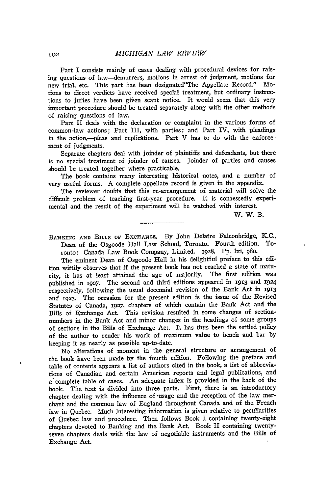Part I consists mainly of cases dealing with procedural devices for raising questions of law--demurrers, motions in arrest of judgment, motions for new trial, etc. This part has been designated"The Appellate Record." Motions to direct verdicts have received special treatment, but ordinary instructions to juries have been given scant notice. It would seem that this very important procedure should be treated separately along with the other methods of raising questions of law.

Part II deals with the declaration or complaint in the various forms of common-law actions; Part III, with parties; and Part IV, with pleadings in the action,--pleas and replications. Part V has to do with the enforcement of judgments.

Separate chapters deal with joinder of plaintiffs and defendants, but there is no special treatment of joinder of causes. Joinder of parties and causes should be treated together where practicable.

The book contains many interesting historical notes, and a number of very useful forms. A complete appellate record is given in the appendix.

The reviewer doubts that this re-arrangement of material will solve the difficult problem of teaching first-year procedure. It is confessedly experimental and the result of the experiment will be watched with interest.

W. W. B.

BANKING AND BILLS OF EXCHANGE. By John Delatre Falconbridge, K.C.,<br>Dean of the Osgoode Hall Law School. Toronto. Fourth edition. To-Dean of the Osgoode Hall Law School, Toronto. Fourth edition. ronto: Canada Law Book Company, Limited. 1928. Pp. lxi, 98o.

The eminent Dean **of** Osgoode Hall in his delightful preface to this edition wittily observes that if the present book has not reached a state of maturity, it has at least attained the age of majority. The first edition was published in i9o7. The second and third editions appeared in 1913 and i924 respectively, following the usual decennial revision of the Bank Act in **1913** and **i923.** The occasion for the present edition is the issue of the Revised Statutes of Canada, 1927, chapters of which contain the Bank Act and the Bills of Exchange Act. This revision resulted in some changes of sectionnumbers in the Bank Act and minor changes in the headings of some groups of sections in the Bills **of** Exchange Act. It has thus been the settled policy of the author to render his work of maximum value to bench and bar by keeping it as nearly as possible up-to-date.

No alterations of moment in the general structure or arrangement of the book have been made by the fourth edition. Following the preface and table of contents appears a list of authors cited in the book, a list of abbreviations of Canadian and certain American reports and legal publications, and a complete table of cases. An adequate index is provided in the back of the book. The text is divided into three parts. First, there is an introductory chapter dealing with the influence of usage and the reception of the law merchant and the common law of England throughout Canada and of the French law in Quebec. Much interesting information is given relative to peculiarities of Quebec law and procedure. Then follows Book I containing twenty-eight chapters devoted to Banking and the Bank Act. Book II containing twentyseven chapters deals with the law of negotiable instruments and the Bills of Exchange Act.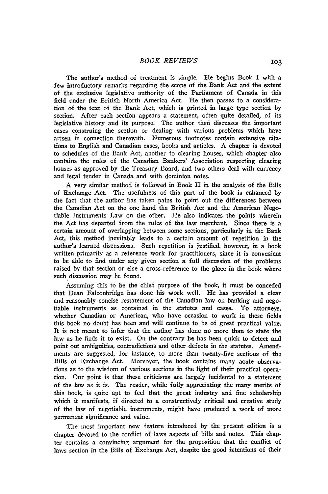The author's method of treatment is simple. He begins Book I with a few introductory remarks regarding the scope of the Bank Act and the extent of the exclusive legislative authority of the Parliament of Canada in this field under the British North America Act. He then passes to a consideration of the text of the Bank Act, which is printed in large type section by section. After each section appears a statement, often quite detailed, of its legislative history and its purpose. The author thei discusses the important cases construing the section or dealing with various problems which have arisen in connection therewith. Numerous footnotes contain extensive citations to English and Canadian cases, books and articles. A chapter is devoted to schedules of the Bank Act, another to clearing houses, which chapter also contains the rules of the Canadian Bankers' Association respecting clearing houses as approved by the Treasury Board, and two others deal with currency and legal tender in Canada and with dominion notes.

A very similar method is followed in Book II in the analysis of the Bills of Exchange Act. The usefulness of this part of the book is enhanced by the fact that the author has taken pains to point out the differences between the Canadian Act on the one hand the British Act and the American Negotiable Instruments Law on the other. He also indicates the points wherein the Act has departed from the rules of the law merchant. Since there is a certain amount of overlapping between some sections, particularly in the Bank Act, this method inevitably leads to a certain amount of repetition in the author's learned discussions. Such repetition is justified, however, in a book written primarily as a reference work for practitioners, since it is convenient to be able to find under any given section a full discussion of the problems raised by that section or else a cross-reference to the place in the book where such discussion may be found.

Assuming this to be the chief purpose of the book, it must be conceded that Dean Falconbridge has done his work well. He has provided a clear and reasonably concise restatement of the Canadian law on banking and negotiable instruments as contained in the statutes and cases. To attorneys, whether Canadian or American, who have occasion to work in these fields this book no doubt has been and will continue to be of great practical value. It is not meant to infer that the author has done no more than to state the law as he finds it to exist. On the contrary he has been quick to detect and point out ambiguities, contradictions and other defects in the statutes. Amendments are suggested, for instance, to more than twenty-five sections of the Bills of Exchange Act. Moreover, the book contains many acute observations as to the wisdom of various sections in the light of their practical operation. Our point is that these criticisms are largely incidental to a statement of the law as it is. The reader, while fully appreciating the many merits of this book, is quite apt to feel that the great industry and fine scholarship which it manifests, if directed to a constructively critical and creative study of the law of negotiable instruments, might have produced a work of more permanent significance and value.

The most important new feature introduced by the present edition is a chapter devoted to the conflict of laws aspects of bills and notes. This chapter contains a convincing argument for the proposition that the conflict of laws section in the Bills of Exchange Act, despite the good intentions of their